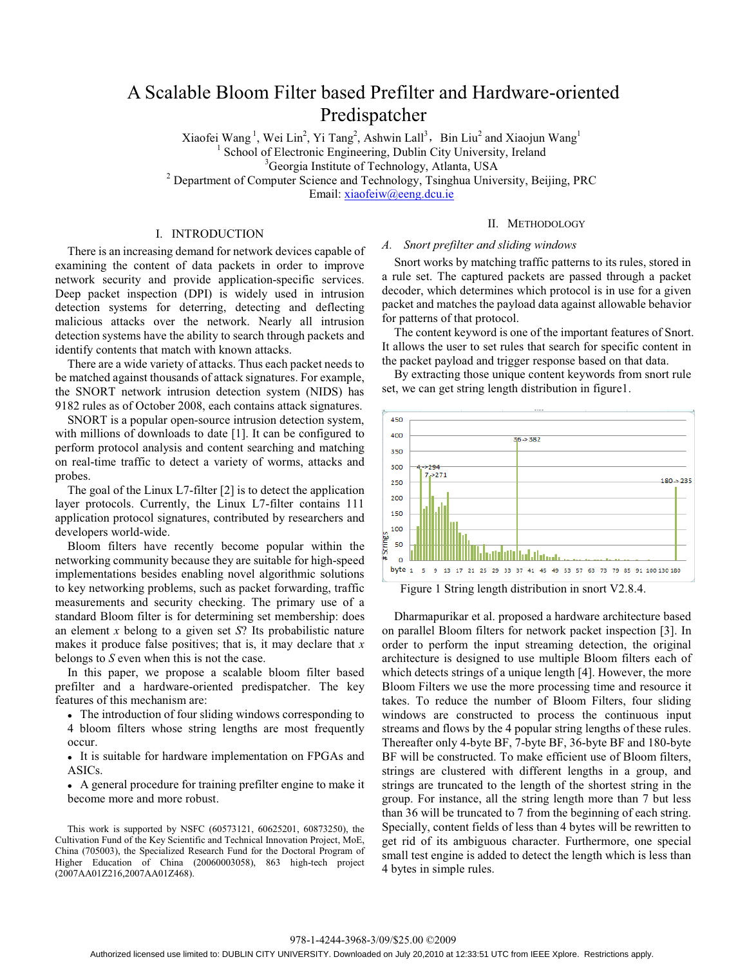# A Scalable Bloom Filter based Prefilter and Hardware-oriented Predispatcher

Xiaofei Wang<sup>1</sup>, Wei Lin<sup>2</sup>, Yi Tang<sup>2</sup>, Ashwin Lall<sup>3</sup>, Bin Liu<sup>2</sup> and Xiaojun Wang<sup>1</sup> <sup>1</sup> School of Electronic Engineering, Dublin City University, Ireland  $\frac{3 \text{Geor} \sin \text{Institute of} \text{Technelo} \times \text{Atlents}}{1 \text{Technelo}}$ <sup>3</sup> Georgia Institute of Technology, Atlanta, USA<br><sup>2</sup> Department of Computer Science and Technology, Tsinghua University, Beijing, PRC Email: xiaofeiw@eeng.dcu.ie

I. INTRODUCTION

There is an increasing demand for network devices capable of examining the content of data packets in order to improve network security and provide application-specific services. Deep packet inspection (DPI) is widely used in intrusion detection systems for deterring, detecting and deflecting malicious attacks over the network. Nearly all intrusion detection systems have the ability to search through packets and identify contents that match with known attacks.

There are a wide variety of attacks. Thus each packet needs to be matched against thousands of attack signatures. For example, the SNORT network intrusion detection system (NIDS) has 9182 rules as of October 2008, each contains attack signatures.

SNORT is a popular open-source intrusion detection system, with millions of downloads to date [1]. It can be configured to perform protocol analysis and content searching and matching on real-time traffic to detect a variety of worms, attacks and probes.

The goal of the Linux L7-filter [2] is to detect the application layer protocols. Currently, the Linux L7-filter contains 111 application protocol signatures, contributed by researchers and developers world-wide.

Bloom filters have recently become popular within the networking community because they are suitable for high-speed implementations besides enabling novel algorithmic solutions to key networking problems, such as packet forwarding, traffic measurements and security checking. The primary use of a standard Bloom filter is for determining set membership: does an element *x* belong to a given set *S*? Its probabilistic nature makes it produce false positives; that is, it may declare that *x* belongs to *S* even when this is not the case.

In this paper, we propose a scalable bloom filter based prefilter and a hardware-oriented predispatcher. The key features of this mechanism are:

• The introduction of four sliding windows corresponding to 4 bloom filters whose string lengths are most frequently occur.

• It is suitable for hardware implementation on FPGAs and ASICs.

• A general procedure for training prefilter engine to make it become more and more robust.

This work is supported by NSFC (60573121, 60625201, 60873250), the Cultivation Fund of the Key Scientific and Technical Innovation Project, MoE, China (705003), the Specialized Research Fund for the Doctoral Program of Higher Education of China (20060003058), 863 high-tech project (2007AA01Z216,2007AA01Z468).

## II. METHODOLOGY

# *A. Snort prefilter and sliding windows*

Snort works by matching traffic patterns to its rules, stored in a rule set. The captured packets are passed through a packet decoder, which determines which protocol is in use for a given packet and matches the payload data against allowable behavior for patterns of that protocol.

The content keyword is one of the important features of Snort. It allows the user to set rules that search for specific content in the packet payload and trigger response based on that data.

By extracting those unique content keywords from snort rule set, we can get string length distribution in figure1.



Figure 1 String length distribution in snort V2.8.4.

Dharmapurikar et al. proposed a hardware architecture based on parallel Bloom filters for network packet inspection [3]. In order to perform the input streaming detection, the original architecture is designed to use multiple Bloom filters each of which detects strings of a unique length [4]. However, the more Bloom Filters we use the more processing time and resource it takes. To reduce the number of Bloom Filters, four sliding windows are constructed to process the continuous input streams and flows by the 4 popular string lengths of these rules. Thereafter only 4-byte BF, 7-byte BF, 36-byte BF and 180-byte BF will be constructed. To make efficient use of Bloom filters, strings are clustered with different lengths in a group, and strings are truncated to the length of the shortest string in the group. For instance, all the string length more than 7 but less than 36 will be truncated to 7 from the beginning of each string. Specially, content fields of less than 4 bytes will be rewritten to get rid of its ambiguous character. Furthermore, one special small test engine is added to detect the length which is less than 4 bytes in simple rules.